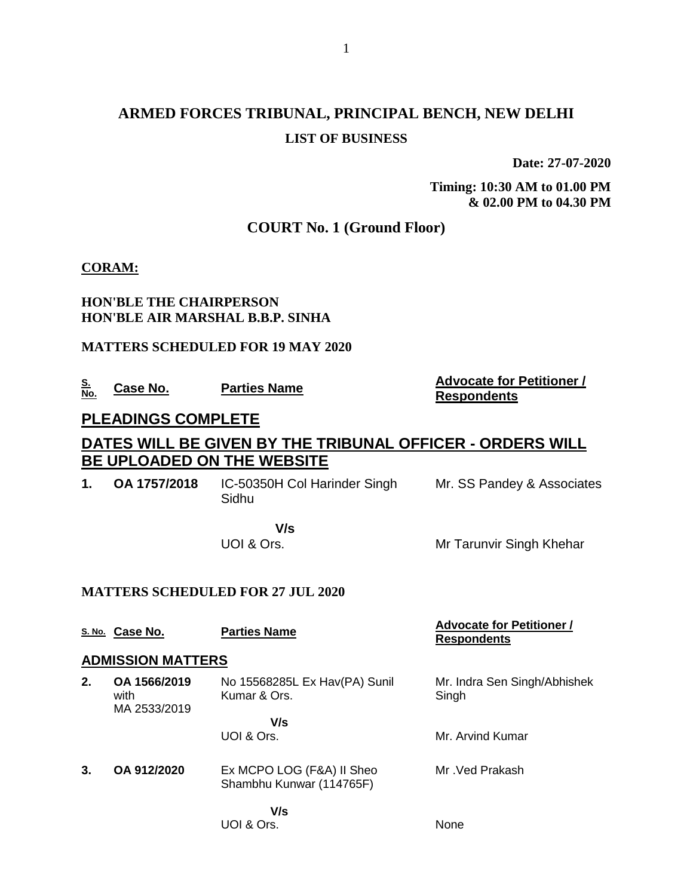# **ARMED FORCES TRIBUNAL, PRINCIPAL BENCH, NEW DELHI LIST OF BUSINESS**

**Date: 27-07-2020**

**Timing: 10:30 AM to 01.00 PM & 02.00 PM to 04.30 PM**

## **COURT No. 1 (Ground Floor)**

### **CORAM:**

## **HON'BLE THE CHAIRPERSON HON'BLE AIR MARSHAL B.B.P. SINHA**

### **MATTERS SCHEDULED FOR 19 MAY 2020**

**S.** 

#### **Case No. Parties Name Advocate for Petitioner / Case No. Parties Name Respondents**

## **PLEADINGS COMPLETE**

## **DATES WILL BE GIVEN BY THE TRIBUNAL OFFICER - ORDERS WILL BE UPLOADED ON THE WEBSITE**

**1. OA 1757/2018** IC-50350H Col Harinder Singh Sidhu Mr. SS Pandey & Associates

> **V/s** UOI & Ors.

UOI & Ors.

Mr Tarunvir Singh Khehar

## **MATTERS SCHEDULED FOR 27 JUL 2020**

**S. No. Case No. Parties Name Advocate for Petitioner / Advocate for Petitioner / Respondents ADMISSION MATTERS 2. OA 1566/2019** with MA 2533/2019 No 15568285L Ex Hav(PA) Sunil Kumar & Ors.  **V/s** UOI & Ors. Mr. Indra Sen Singh/Abhishek **Singh** Mr. Arvind Kumar **3. OA 912/2020** Ex MCPO LOG (F&A) II Sheo Shambhu Kunwar (114765F)  **V/s** Mr .Ved Prakash

None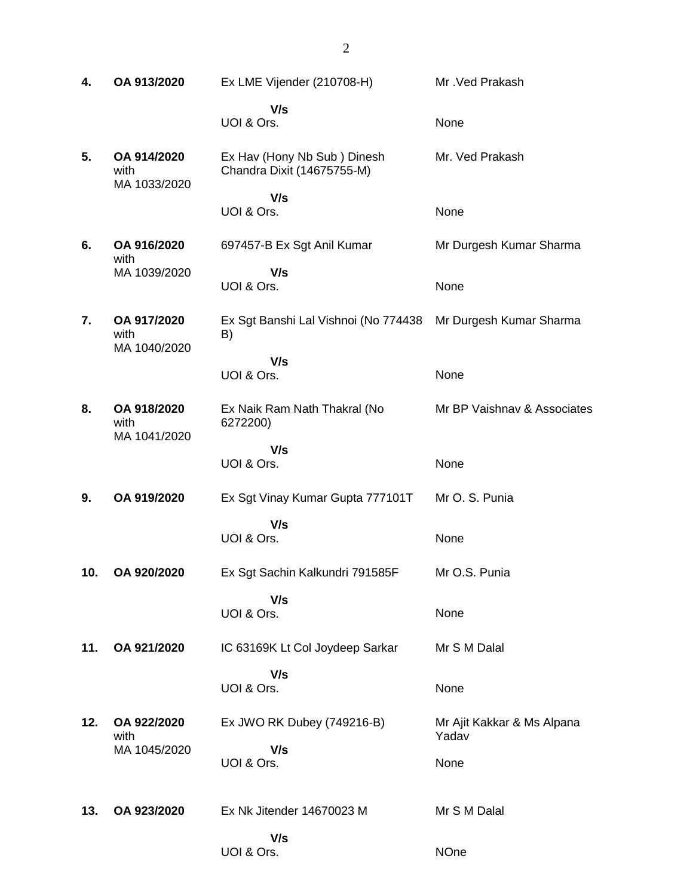**4. OA 913/2020** Ex LME Vijender (210708-H)  **V/s** UOI & Ors. Mr .Ved Prakash None **5. OA 914/2020** with MA 1033/2020 Ex Hav (Hony Nb Sub ) Dinesh Chandra Dixit (14675755-M)  **V/s** UOI & Ors. Mr. Ved Prakash None **6. OA 916/2020** with MA 1039/2020 697457-B Ex Sgt Anil Kumar  **V/s** UOI & Ors. Mr Durgesh Kumar Sharma None **7. OA 917/2020** with MA 1040/2020 Ex Sgt Banshi Lal Vishnoi (No 774438 B)  **V/s** UOI & Ors. Mr Durgesh Kumar Sharma None **8. OA 918/2020** with MA 1041/2020 Ex Naik Ram Nath Thakral (No 6272200)  **V/s** UOI & Ors. Mr BP Vaishnav & Associates None **9. OA 919/2020** Ex Sgt Vinay Kumar Gupta 777101T  **V/s** UOI & Ors. Mr O. S. Punia None **10. OA 920/2020** Ex Sgt Sachin Kalkundri 791585F  **V/s** UOI & Ors. Mr O.S. Punia None **11. OA 921/2020** IC 63169K Lt Col Joydeep Sarkar  **V/s** UOI & Ors. Mr S M Dalal None **12. OA 922/2020** with MA 1045/2020 Ex JWO RK Dubey (749216-B)  **V/s** UOI & Ors. Mr Ajit Kakkar & Ms Alpana Yadav None **13. OA 923/2020** Ex Nk Jitender 14670023 M  **V/s** UOI & Ors. Mr S M Dalal NOne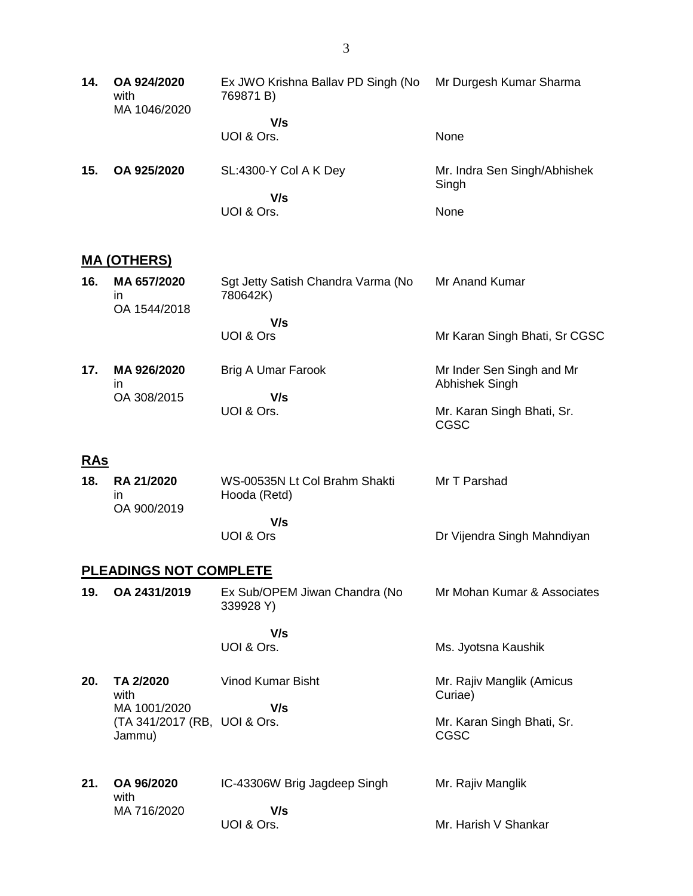**14. OA 924/2020** with MA 1046/2020 Ex JWO Krishna Ballav PD Singh (No 769871 B)  **V/s** UOI & Ors. Mr Durgesh Kumar Sharma None **15. OA 925/2020** SL:4300-Y Col A K Dey  **V/s** UOI & Ors. Mr. Indra Sen Singh/Abhishek Singh None

#### **MA (OTHERS)**

| 16. | MA 657/2020<br>ın | Sgt Jetty Satish Chandra Varma (No<br>780642K) | Mr Anand Kumar                              |
|-----|-------------------|------------------------------------------------|---------------------------------------------|
|     | OA 1544/2018      |                                                |                                             |
|     |                   | V/s                                            |                                             |
|     |                   | UOI & Ors                                      | Mr Karan Singh Bhati, Sr CGSC               |
| 17. | MA 926/2020<br>ın | Brig A Umar Farook                             | Mr Inder Sen Singh and Mr<br>Abhishek Singh |
|     | OA 308/2015       | V/s                                            |                                             |
|     |                   | UOI & Ors.                                     | Mr. Karan Singh Bhati, Sr.<br>CGSC          |

#### **RAs**

| 18. | <b>RA 21/2020</b><br>ın<br>OA 900/2019 | WS-00535N Lt Col Brahm Shakti<br>Hooda (Retd) | Mr T Parshad                |
|-----|----------------------------------------|-----------------------------------------------|-----------------------------|
|     |                                        | V/s                                           |                             |
|     |                                        | UOI & Ors                                     | Dr Vijendra Singh Mahndiyan |

#### **PLEADINGS NOT COMPLETE**

**19. OA 2431/2019** Ex Sub/OPEM Jiwan Chandra (No 339928 Y) Mr Mohan Kumar & Associates

Ms. Jyotsna Kaushik

 **V/s** UOI & Ors.

- **20. TA 2/2020** with MA 1001/2020 (TA 341/2017 (RB, UOI & Ors. Jammu) Vinod Kumar Bisht  **V/s** Mr. Rajiv Manglik (Amicus Curiae) Mr. Karan Singh Bhati, Sr. CGSC
- **21. OA 96/2020** with MA 716/2020 IC-43306W Brig Jagdeep Singh  **V/s** UOI & Ors. Mr. Rajiv Manglik Mr. Harish V Shankar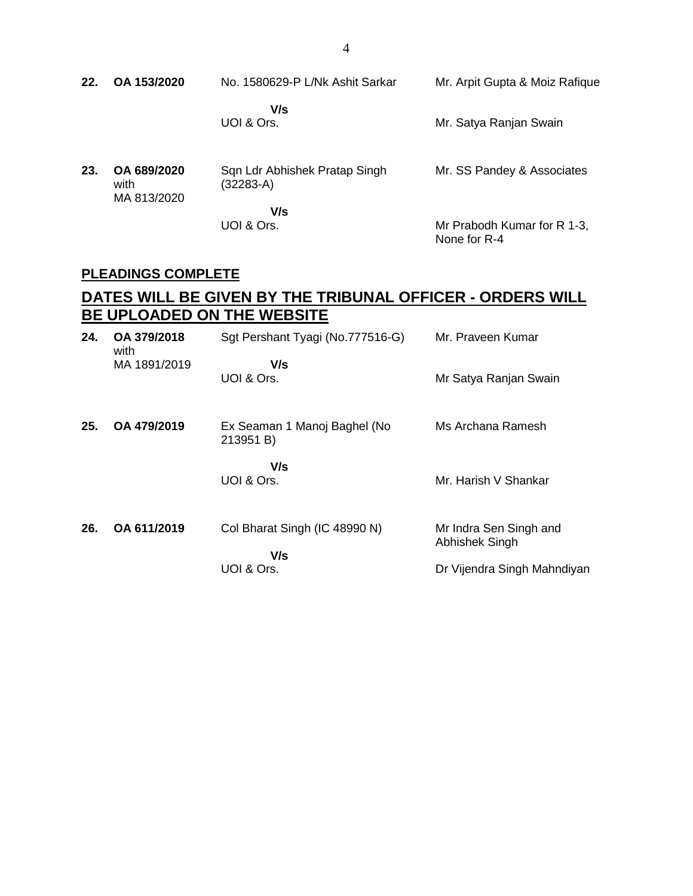| 22. | OA 153/2020                        | No. 1580629-P L/Nk Ashit Sarkar            | Mr. Arpit Gupta & Moiz Rafique              |
|-----|------------------------------------|--------------------------------------------|---------------------------------------------|
|     |                                    | V/s<br>UOI & Ors.                          | Mr. Satya Ranjan Swain                      |
| 23. | OA 689/2020<br>with<br>MA 813/2020 | Sqn Ldr Abhishek Pratap Singh<br>(32283-A) | Mr. SS Pandey & Associates                  |
|     |                                    | V/s<br>UOI & Ors.                          | Mr Prabodh Kumar for R 1-3,<br>None for R-4 |

## **PLEADINGS COMPLETE**

## **DATES WILL BE GIVEN BY THE TRIBUNAL OFFICER - ORDERS WILL BE UPLOADED ON THE WEBSITE**

| 24. | OA 379/2018<br>with | Sgt Pershant Tyagi (No.777516-G)          | Mr. Praveen Kumar                        |
|-----|---------------------|-------------------------------------------|------------------------------------------|
|     | MA 1891/2019        | V/s<br>UOI & Ors.                         | Mr Satya Ranjan Swain                    |
| 25. | OA 479/2019         | Ex Seaman 1 Manoj Baghel (No<br>213951 B) | Ms Archana Ramesh                        |
|     |                     | V/s<br>UOI & Ors.                         | Mr. Harish V Shankar                     |
| 26. | OA 611/2019         | Col Bharat Singh (IC 48990 N)<br>V/s      | Mr Indra Sen Singh and<br>Abhishek Singh |
|     |                     | UOI & Ors.                                | Dr Vijendra Singh Mahndiyan              |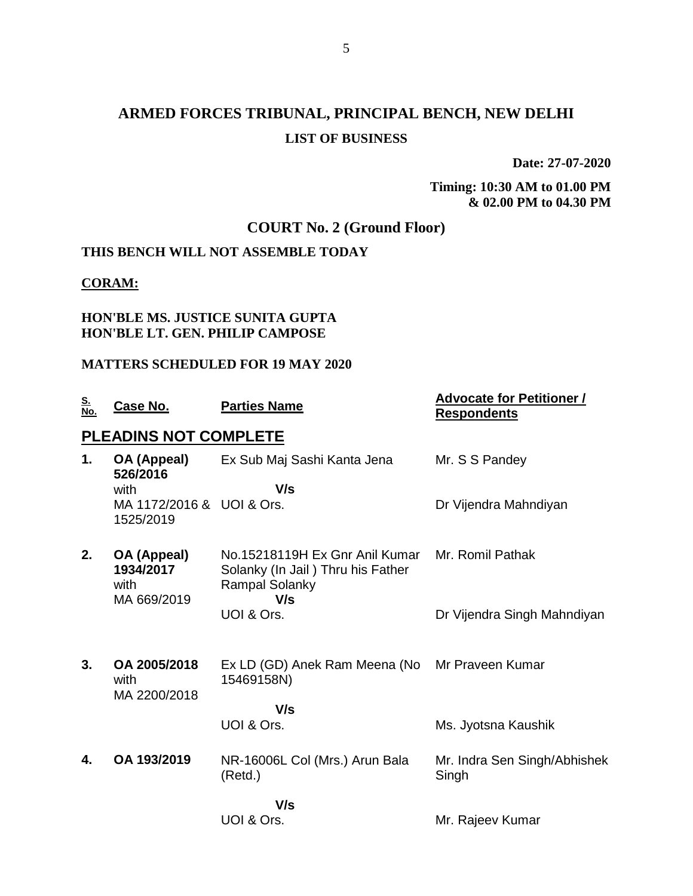# **ARMED FORCES TRIBUNAL, PRINCIPAL BENCH, NEW DELHI LIST OF BUSINESS**

**Date: 27-07-2020**

**Timing: 10:30 AM to 01.00 PM & 02.00 PM to 04.30 PM**

## **COURT No. 2 (Ground Floor)**

## **THIS BENCH WILL NOT ASSEMBLE TODAY**

## **CORAM:**

### **HON'BLE MS. JUSTICE SUNITA GUPTA HON'BLE LT. GEN. PHILIP CAMPOSE**

## **MATTERS SCHEDULED FOR 19 MAY 2020**

| <u>S.</u><br><u>No.</u> | Case No.                                        | <b>Parties Name</b>                                                                                 | <b>Advocate for Petitioner /</b><br><b>Respondents</b> |
|-------------------------|-------------------------------------------------|-----------------------------------------------------------------------------------------------------|--------------------------------------------------------|
|                         | <b>PLEADINS NOT COMPLETE</b>                    |                                                                                                     |                                                        |
| 1.                      | OA (Appeal)<br>526/2016                         | Ex Sub Maj Sashi Kanta Jena                                                                         | Mr. S S Pandey                                         |
|                         | with<br>MA 1172/2016 & UOI & Ors.<br>1525/2019  | V/s                                                                                                 | Dr Vijendra Mahndiyan                                  |
| 2.                      | OA (Appeal)<br>1934/2017<br>with<br>MA 669/2019 | No.15218119H Ex Gnr Anil Kumar<br>Solanky (In Jail) Thru his Father<br><b>Rampal Solanky</b><br>V/s | Mr. Romil Pathak                                       |
|                         |                                                 | UOI & Ors.                                                                                          | Dr Vijendra Singh Mahndiyan                            |
| 3.                      | OA 2005/2018<br>with<br>MA 2200/2018            | Ex LD (GD) Anek Ram Meena (No<br>15469158N)                                                         | Mr Praveen Kumar                                       |
|                         |                                                 | V/s<br>UOI & Ors.                                                                                   | Ms. Jyotsna Kaushik                                    |
|                         |                                                 |                                                                                                     |                                                        |
| 4.                      | OA 193/2019                                     | NR-16006L Col (Mrs.) Arun Bala<br>(Retd.)                                                           | Mr. Indra Sen Singh/Abhishek<br>Singh                  |
|                         |                                                 | V/s                                                                                                 |                                                        |
|                         |                                                 | UOI & Ors.                                                                                          | Mr. Rajeev Kumar                                       |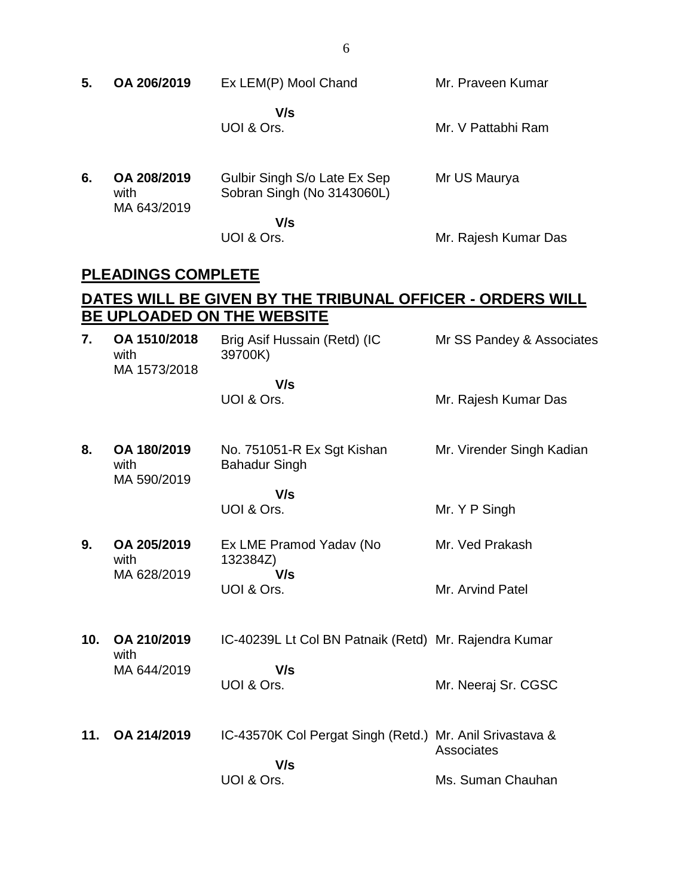| 5.  | OA 206/2019                          | Ex LEM(P) Mool Chand                                                         | Mr. Praveen Kumar         |
|-----|--------------------------------------|------------------------------------------------------------------------------|---------------------------|
|     |                                      | V/s<br>UOI & Ors.                                                            | Mr. V Pattabhi Ram        |
| 6.  | OA 208/2019<br>with<br>MA 643/2019   | Gulbir Singh S/o Late Ex Sep<br>Sobran Singh (No 3143060L)                   | Mr US Maurya              |
|     |                                      | V/s<br>UOI & Ors.                                                            | Mr. Rajesh Kumar Das      |
|     | <b>PLEADINGS COMPLETE</b>            |                                                                              |                           |
|     |                                      | DATES WILL BE GIVEN BY THE TRIBUNAL OFFICER - ORDERS WILL                    |                           |
| 7.  | OA 1510/2018<br>with<br>MA 1573/2018 | <b>BE UPLOADED ON THE WEBSITE</b><br>Brig Asif Hussain (Retd) (IC<br>39700K) | Mr SS Pandey & Associates |
|     |                                      | V/s<br>UOI & Ors.                                                            | Mr. Rajesh Kumar Das      |
| 8.  | OA 180/2019<br>with<br>MA 590/2019   | No. 751051-R Ex Sgt Kishan<br><b>Bahadur Singh</b>                           | Mr. Virender Singh Kadian |
|     |                                      | V/s<br>UOI & Ors.                                                            | Mr. Y P Singh             |
| 9.  | OA 205/2019<br>with<br>MA 628/2019   | Ex LME Pramod Yadav (No<br>132384Z)<br>V/s                                   | Mr. Ved Prakash           |
|     |                                      | UOI & Ors.                                                                   | Mr. Arvind Patel          |
| 10. | OA 210/2019<br>with<br>MA 644/2019   | IC-40239L Lt Col BN Patnaik (Retd) Mr. Rajendra Kumar                        |                           |
|     |                                      | V/s<br>UOI & Ors.                                                            | Mr. Neeraj Sr. CGSC       |
| 11. | OA 214/2019                          | IC-43570K Col Pergat Singh (Retd.) Mr. Anil Srivastava &                     | Associates                |
|     |                                      | V/s<br>UOI & Ors.                                                            | Ms. Suman Chauhan         |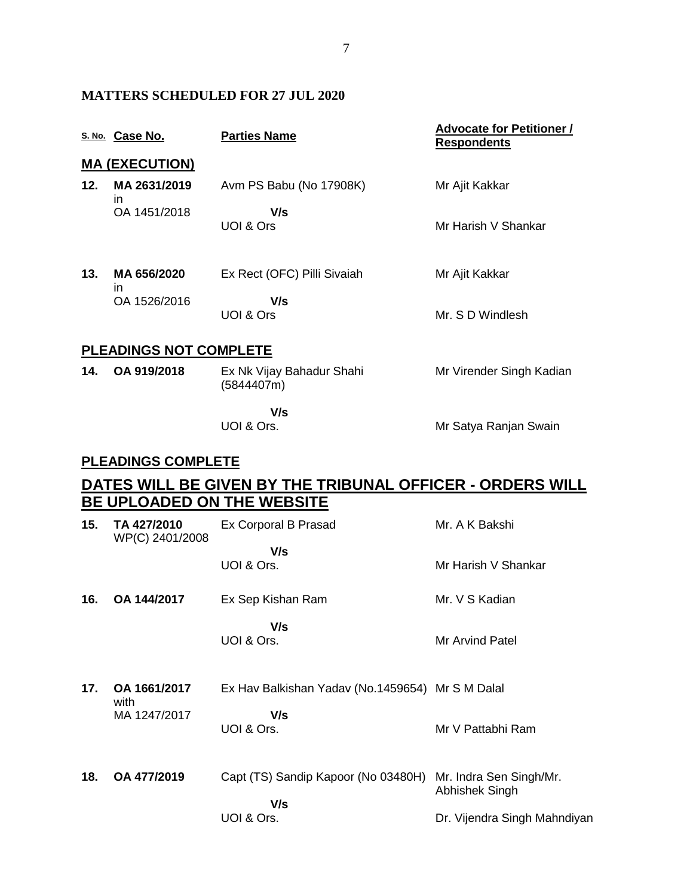## **MATTERS SCHEDULED FOR 27 JUL 2020**

|     | S. No. Case No.                | <b>Parties Name</b>                                       | <b>Advocate for Petitioner /</b><br><b>Respondents</b> |
|-----|--------------------------------|-----------------------------------------------------------|--------------------------------------------------------|
|     | <u>MA (EXECUTION)</u>          |                                                           |                                                        |
| 12. | MA 2631/2019<br>in             | Avm PS Babu (No 17908K)                                   | Mr Ajit Kakkar                                         |
|     | OA 1451/2018                   | V/s<br>UOI & Ors                                          | Mr Harish V Shankar                                    |
| 13. | MA 656/2020<br>in              | Ex Rect (OFC) Pilli Sivaiah                               | Mr Ajit Kakkar                                         |
|     | OA 1526/2016                   | V/s<br>UOI & Ors                                          | Mr. S D Windlesh                                       |
|     | <b>PLEADINGS NOT COMPLETE</b>  |                                                           |                                                        |
| 14. | OA 919/2018                    | Ex Nk Vijay Bahadur Shahi<br>(5844407m)                   | Mr Virender Singh Kadian                               |
|     |                                | V/s<br>UOI & Ors.                                         | Mr Satya Ranjan Swain                                  |
|     | <b>PLEADINGS COMPLETE</b>      |                                                           |                                                        |
|     |                                | DATES WILL BE GIVEN BY THE TRIBUNAL OFFICER - ORDERS WILL |                                                        |
|     |                                | <b>BE UPLOADED ON THE WEBSITE</b>                         |                                                        |
| 15. | TA 427/2010<br>WP(C) 2401/2008 | Ex Corporal B Prasad                                      | Mr. A K Bakshi                                         |
|     |                                | V/s<br>UOI & Ors.                                         | Mr Harish V Shankar                                    |
| 16. | OA 144/2017                    | Ex Sep Kishan Ram                                         | Mr. V S Kadian                                         |
|     |                                | V/s<br>UOI & Ors.                                         | Mr Arvind Patel                                        |
| 17. | OA 1661/2017<br>with           | Ex Hav Balkishan Yadav (No.1459654) Mr S M Dalal          |                                                        |
|     | MA 1247/2017                   | V/s<br>UOI & Ors.                                         | Mr V Pattabhi Ram                                      |
| 18. | OA 477/2019                    | Capt (TS) Sandip Kapoor (No 03480H)<br>V/s                | Mr. Indra Sen Singh/Mr.<br>Abhishek Singh              |

Dr. Vijendra Singh Mahndiyan

UOI & Ors.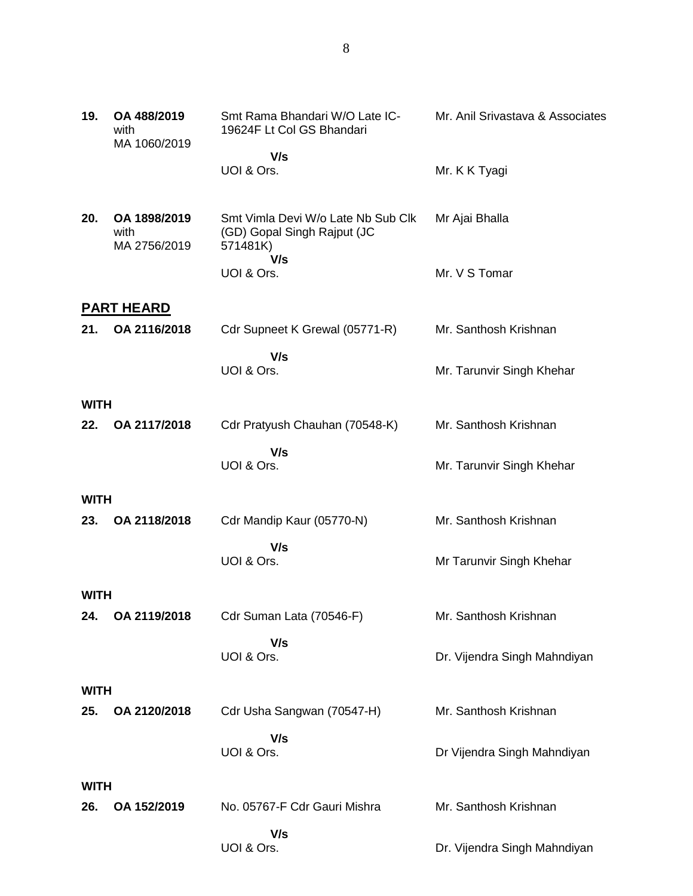| 19.         | OA 488/2019<br>with<br>MA 1060/2019  | Smt Rama Bhandari W/O Late IC-<br>19624F Lt Col GS Bhandari                   | Mr. Anil Srivastava & Associates |
|-------------|--------------------------------------|-------------------------------------------------------------------------------|----------------------------------|
|             |                                      | V/s<br>UOI & Ors.                                                             | Mr. K K Tyagi                    |
| 20.         | OA 1898/2019<br>with<br>MA 2756/2019 | Smt Vimla Devi W/o Late Nb Sub Clk<br>(GD) Gopal Singh Rajput (JC<br>571481K) | Mr Ajai Bhalla                   |
|             |                                      | V/s<br>UOI & Ors.                                                             | Mr. V S Tomar                    |
|             | <b>PART HEARD</b>                    |                                                                               |                                  |
| 21.         | OA 2116/2018                         | Cdr Supneet K Grewal (05771-R)                                                | Mr. Santhosh Krishnan            |
|             |                                      | V/s<br>UOI & Ors.                                                             | Mr. Tarunvir Singh Khehar        |
| <b>WITH</b> |                                      |                                                                               |                                  |
| 22.         | OA 2117/2018                         | Cdr Pratyush Chauhan (70548-K)                                                | Mr. Santhosh Krishnan            |
|             |                                      | V/s<br>UOI & Ors.                                                             | Mr. Tarunvir Singh Khehar        |
| <b>WITH</b> |                                      |                                                                               |                                  |
| 23.         | OA 2118/2018                         | Cdr Mandip Kaur (05770-N)                                                     | Mr. Santhosh Krishnan            |
|             |                                      | V/s<br>UOI & Ors.                                                             | Mr Tarunvir Singh Khehar         |
| <b>WITH</b> |                                      |                                                                               |                                  |
| 24.         | OA 2119/2018                         | Cdr Suman Lata (70546-F)                                                      | Mr. Santhosh Krishnan            |
|             |                                      | V/s<br>UOI & Ors.                                                             | Dr. Vijendra Singh Mahndiyan     |
| <b>WITH</b> |                                      |                                                                               |                                  |
| 25.         | OA 2120/2018                         | Cdr Usha Sangwan (70547-H)                                                    | Mr. Santhosh Krishnan            |
|             |                                      | V/s<br>UOI & Ors.                                                             | Dr Vijendra Singh Mahndiyan      |
| <b>WITH</b> |                                      |                                                                               |                                  |

**26. OA 152/2019** No. 05767-F Cdr Gauri Mishra  **V/s** UOI & Ors. Mr. Santhosh Krishnan Dr. Vijendra Singh Mahndiyan